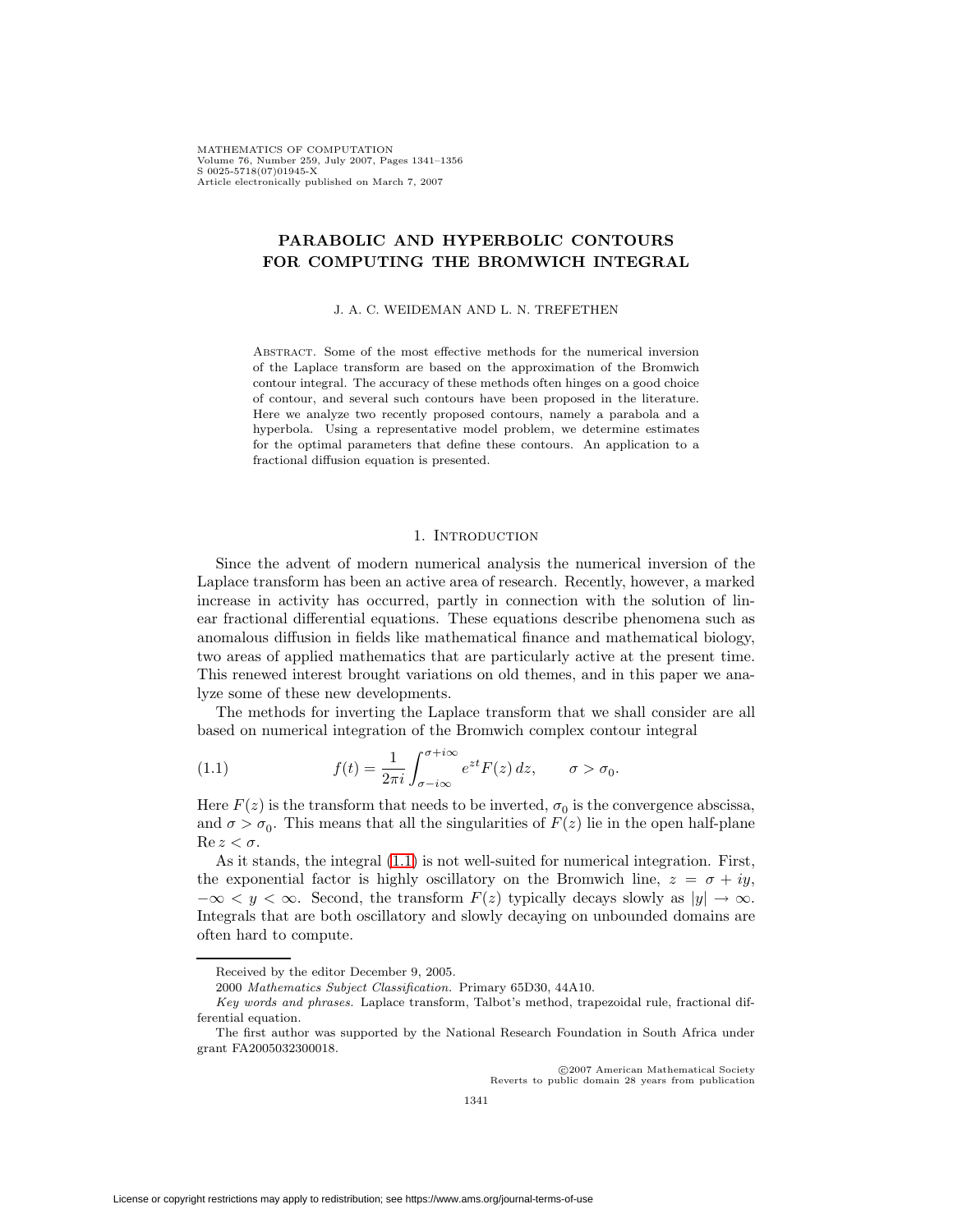MATHEMATICS OF COMPUTATION Volume 76, Number 259, July 2007, Pages 1341–1356 S 0025-5718(07)01945-X Article electronically published on March 7, 2007

# **PARABOLIC AND HYPERBOLIC CONTOURS FOR COMPUTING THE BROMWICH INTEGRAL**

#### J. A. C. WEIDEMAN AND L. N. TREFETHEN

Abstract. Some of the most effective methods for the numerical inversion of the Laplace transform are based on the approximation of the Bromwich contour integral. The accuracy of these methods often hinges on a good choice of contour, and several such contours have been proposed in the literature. Here we analyze two recently proposed contours, namely a parabola and a hyperbola. Using a representative model problem, we determine estimates for the optimal parameters that define these contours. An application to a fractional diffusion equation is presented.

### <span id="page-0-0"></span>1. INTRODUCTION

Since the advent of modern numerical analysis the numerical inversion of the Laplace transform has been an active area of research. Recently, however, a marked increase in activity has occurred, partly in connection with the solution of linear fractional differential equations. These equations describe phenomena such as anomalous diffusion in fields like mathematical finance and mathematical biology, two areas of applied mathematics that are particularly active at the present time. This renewed interest brought variations on old themes, and in this paper we analyze some of these new developments.

The methods for inverting the Laplace transform that we shall consider are all based on numerical integration of the Bromwich complex contour integral

(1.1) 
$$
f(t) = \frac{1}{2\pi i} \int_{\sigma - i\infty}^{\sigma + i\infty} e^{zt} F(z) dz, \qquad \sigma > \sigma_0.
$$

Here  $F(z)$  is the transform that needs to be inverted,  $\sigma_0$  is the convergence abscissa, and  $\sigma > \sigma_0$ . This means that all the singularities of  $F(z)$  lie in the open half-plane  $\text{Re } z < \sigma$ .

As it stands, the integral [\(1.1\)](#page-0-0) is not well-suited for numerical integration. First, the exponential factor is highly oscillatory on the Bromwich line,  $z = \sigma + iy$ ,  $-\infty < y < \infty$ . Second, the transform  $F(z)$  typically decays slowly as  $|y| \to \infty$ . Integrals that are both oscillatory and slowly decaying on unbounded domains are often hard to compute.

c 2007 American Mathematical Society Reverts to public domain 28 years from publication

Received by the editor December 9, 2005.

<sup>2000</sup> Mathematics Subject Classification. Primary 65D30, 44A10.

Key words and phrases. Laplace transform, Talbot's method, trapezoidal rule, fractional differential equation.

The first author was supported by the National Research Foundation in South Africa under grant FA2005032300018.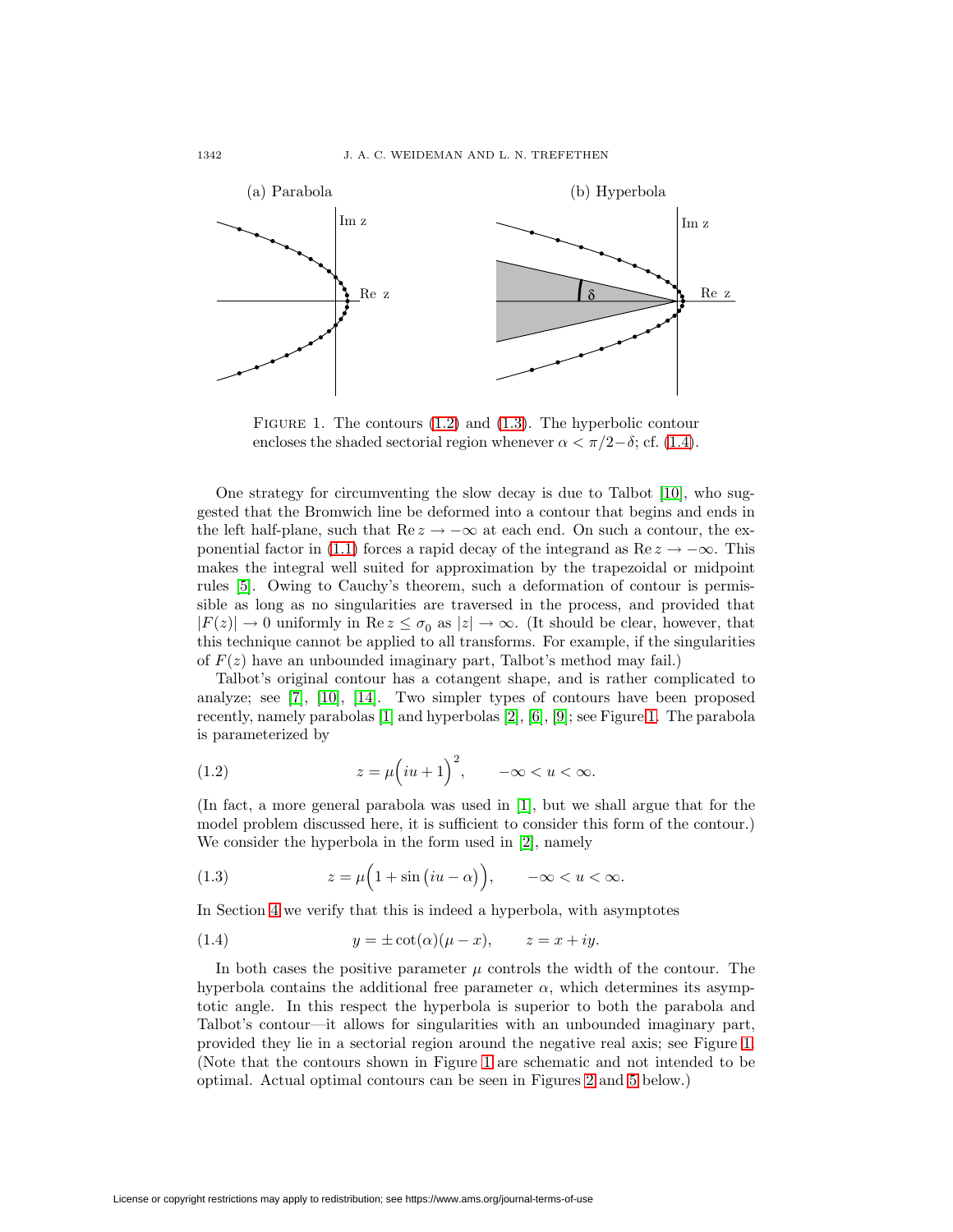

<span id="page-1-3"></span>FIGURE 1. The contours  $(1.2)$  and  $(1.3)$ . The hyperbolic contour encloses the shaded sectorial region whenever  $\alpha < \pi/2-\delta$ ; cf. [\(1.4\)](#page-1-2).

One strategy for circumventing the slow decay is due to Talbot [\[10\]](#page-15-0), who suggested that the Bromwich line be deformed into a contour that begins and ends in the left half-plane, such that Re  $z \to -\infty$  at each end. On such a contour, the ex-ponential factor in [\(1.1\)](#page-0-0) forces a rapid decay of the integrand as  $\text{Re } z \to -\infty$ . This makes the integral well suited for approximation by the trapezoidal or midpoint rules [\[5\]](#page-15-1). Owing to Cauchy's theorem, such a deformation of contour is permissible as long as no singularities are traversed in the process, and provided that  $|F(z)| \to 0$  uniformly in Re  $z \leq \sigma_0$  as  $|z| \to \infty$ . (It should be clear, however, that this technique cannot be applied to all transforms. For example, if the singularities of  $F(z)$  have an unbounded imaginary part, Talbot's method may fail.)

Talbot's original contour has a cotangent shape, and is rather complicated to analyze; see [\[7\]](#page-15-2), [\[10\]](#page-15-0), [\[14\]](#page-15-3). Two simpler types of contours have been proposed recently, namely parabolas [\[1\]](#page-15-4) and hyperbolas [\[2\]](#page-15-5), [\[6\]](#page-15-6), [\[9\]](#page-15-7); see Figure [1.](#page-1-3) The parabola is parameterized by

<span id="page-1-0"></span>(1.2) 
$$
z = \mu \left( iu + 1 \right)^2, \quad -\infty < u < \infty.
$$

(In fact, a more general parabola was used in [\[1\]](#page-15-4), but we shall argue that for the model problem discussed here, it is sufficient to consider this form of the contour.) We consider the hyperbola in the form used in [\[2\]](#page-15-5), namely

<span id="page-1-1"></span>(1.3) 
$$
z = \mu \left( 1 + \sin \left( i u - \alpha \right) \right), \quad -\infty < u < \infty.
$$

<span id="page-1-2"></span>In Section [4](#page-7-0) we verify that this is indeed a hyperbola, with asymptotes

(1.4) 
$$
y = \pm \cot(\alpha)(\mu - x), \qquad z = x + iy.
$$

In both cases the positive parameter  $\mu$  controls the width of the contour. The hyperbola contains the additional free parameter  $\alpha$ , which determines its asymptotic angle. In this respect the hyperbola is superior to both the parabola and Talbot's contour—it allows for singularities with an unbounded imaginary part, provided they lie in a sectorial region around the negative real axis; see Figure [1.](#page-1-3) (Note that the contours shown in Figure [1](#page-1-3) are schematic and not intended to be optimal. Actual optimal contours can be seen in Figures [2](#page-5-0) and [5](#page-8-0) below.)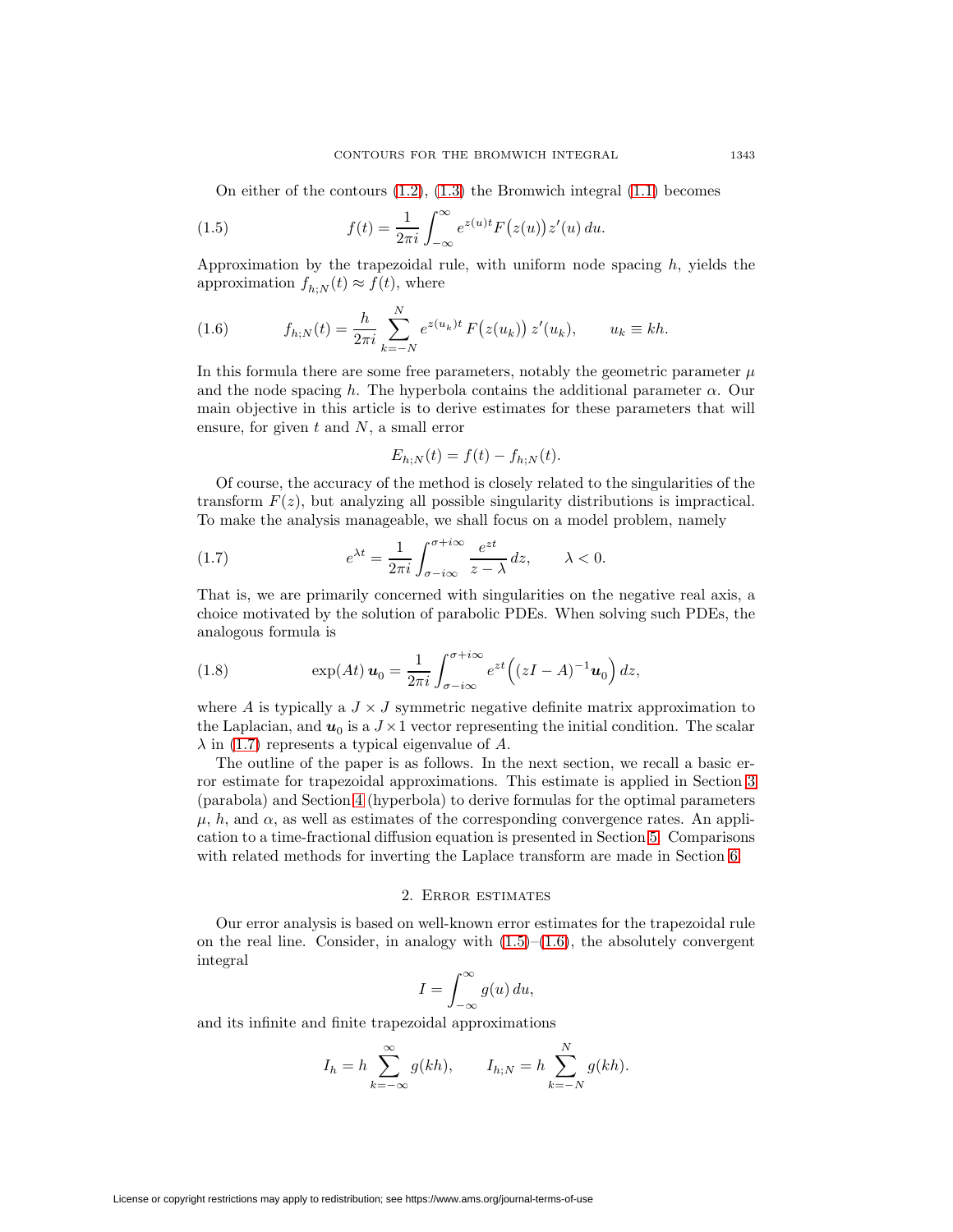On either of the contours  $(1.2)$ ,  $(1.3)$  the Bromwich integral  $(1.1)$  becomes

(1.5) 
$$
f(t) = \frac{1}{2\pi i} \int_{-\infty}^{\infty} e^{z(u)t} F(z(u)) z'(u) du.
$$

<span id="page-2-2"></span>Approximation by the trapezoidal rule, with uniform node spacing  $h$ , yields the approximation  $f_{h:N}(t) \approx f(t)$ , where

(1.6) 
$$
f_{h;N}(t) = \frac{h}{2\pi i} \sum_{k=-N}^{N} e^{z(u_k)t} F(z(u_k)) z'(u_k), \qquad u_k \equiv kh.
$$

In this formula there are some free parameters, notably the geometric parameter  $\mu$ and the node spacing h. The hyperbola contains the additional parameter  $\alpha$ . Our main objective in this article is to derive estimates for these parameters that will ensure, for given  $t$  and  $N$ , a small error

<span id="page-2-1"></span><span id="page-2-0"></span>
$$
E_{h;N}(t) = f(t) - f_{h;N}(t).
$$

Of course, the accuracy of the method is closely related to the singularities of the transform  $F(z)$ , but analyzing all possible singularity distributions is impractical. To make the analysis manageable, we shall focus on a model problem, namely

(1.7) 
$$
e^{\lambda t} = \frac{1}{2\pi i} \int_{\sigma - i\infty}^{\sigma + i\infty} \frac{e^{zt}}{z - \lambda} dz, \qquad \lambda < 0.
$$

That is, we are primarily concerned with singularities on the negative real axis, a choice motivated by the solution of parabolic PDEs. When solving such PDEs, the analogous formula is

<span id="page-2-4"></span>(1.8) 
$$
\exp(At) \mathbf{u}_0 = \frac{1}{2\pi i} \int_{\sigma - i\infty}^{\sigma + i\infty} e^{zt} \left( (zI - A)^{-1} \mathbf{u}_0 \right) dz,
$$

where A is typically a  $J \times J$  symmetric negative definite matrix approximation to the Laplacian, and  $u_0$  is a  $J \times 1$  vector representing the initial condition. The scalar  $\lambda$  in [\(1.7\)](#page-2-0) represents a typical eigenvalue of A.

The outline of the paper is as follows. In the next section, we recall a basic error estimate for trapezoidal approximations. This estimate is applied in Section [3](#page-3-0) (parabola) and Section [4](#page-7-0) (hyperbola) to derive formulas for the optimal parameters  $\mu$ , h, and  $\alpha$ , as well as estimates of the corresponding convergence rates. An application to a time-fractional diffusion equation is presented in Section [5.](#page-11-0) Comparisons with related methods for inverting the Laplace transform are made in Section [6.](#page-13-0)

### 2. Error estimates

<span id="page-2-3"></span>Our error analysis is based on well-known error estimates for the trapezoidal rule on the real line. Consider, in analogy with  $(1.5)$ – $(1.6)$ , the absolutely convergent integral

$$
I = \int_{-\infty}^{\infty} g(u) \, du,
$$

and its infinite and finite trapezoidal approximations

$$
I_h = h \sum_{k=-\infty}^{\infty} g(kh), \qquad I_{h;N} = h \sum_{k=-N}^{N} g(kh).
$$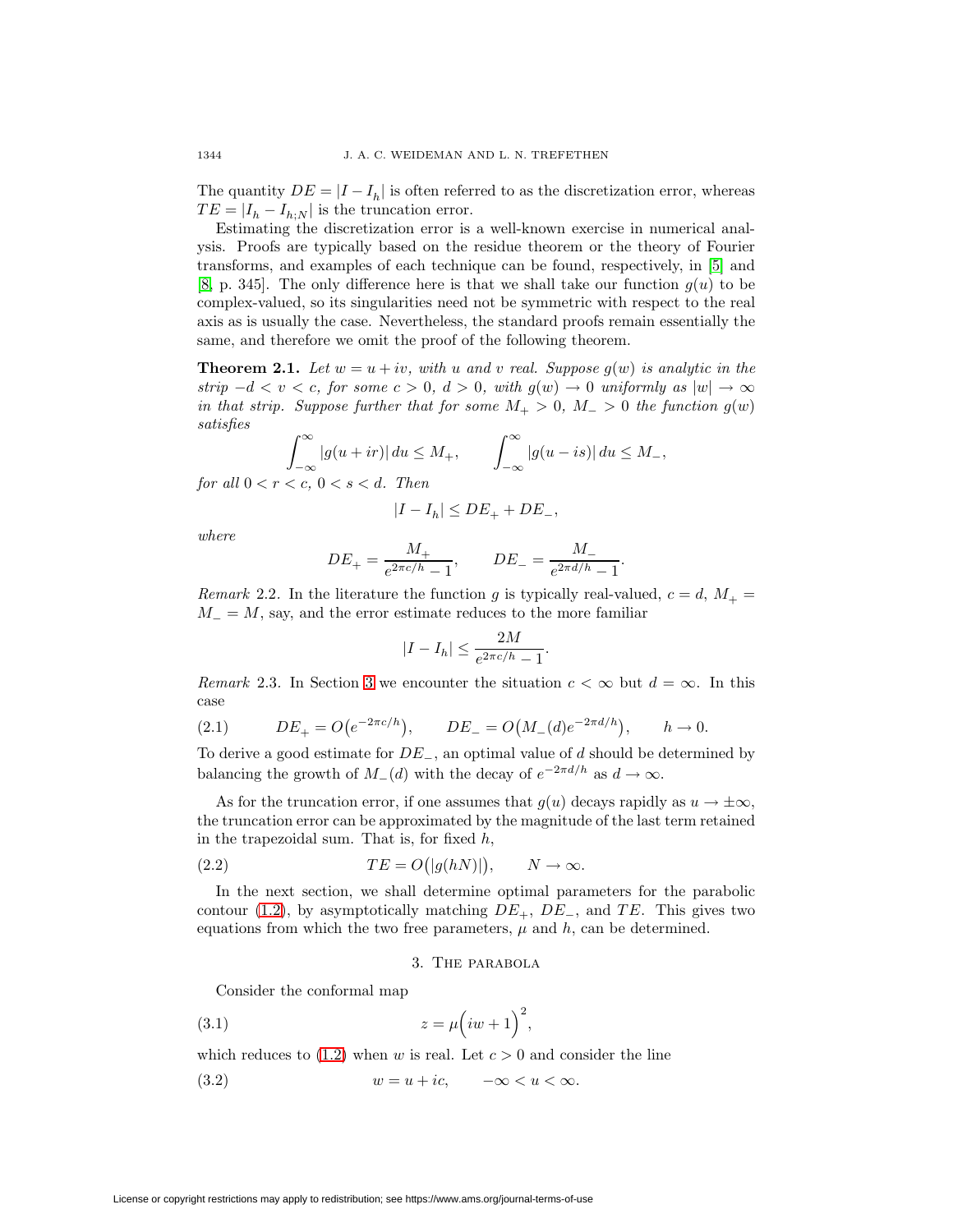The quantity  $DE = |I - I_h|$  is often referred to as the discretization error, whereas  $TE = |I_h - I_{h:N}|$  is the truncation error.

Estimating the discretization error is a well-known exercise in numerical analysis. Proofs are typically based on the residue theorem or the theory of Fourier transforms, and examples of each technique can be found, respectively, in [\[5\]](#page-15-1) and [\[8,](#page-15-8) p. 345]. The only difference here is that we shall take our function  $g(u)$  to be complex-valued, so its singularities need not be symmetric with respect to the real axis as is usually the case. Nevertheless, the standard proofs remain essentially the same, and therefore we omit the proof of the following theorem.

<span id="page-3-2"></span>**Theorem 2.1.** Let  $w = u + iv$ , with u and v real. Suppose  $g(w)$  is analytic in the strip  $-d < v < c$ , for some  $c > 0$ ,  $d > 0$ , with  $g(w) \to 0$  uniformly as  $|w| \to \infty$ in that strip. Suppose further that for some  $M_+ > 0$ ,  $M_- > 0$  the function  $g(w)$ satisfies

$$
\int_{-\infty}^{\infty} |g(u+ir)| du \le M_+, \qquad \int_{-\infty}^{\infty} |g(u-is)| du \le M_-,
$$
  
for all  $0 < r < c, 0 < s < d$ . Then

$$
|I - I_h| \le DE_+ + DE_-,
$$

where

$$
DE_{+} = \frac{M_{+}}{e^{2\pi c/h} - 1}
$$
,  $DE_{-} = \frac{M_{-}}{e^{2\pi d/h} - 1}$ .

Remark 2.2. In the literature the function g is typically real-valued,  $c = d, M_{+} =$  $M = M$ , say, and the error estimate reduces to the more familiar

$$
|I - I_h| \le \frac{2M}{e^{2\pi c/h} - 1}.
$$

<span id="page-3-3"></span>Remark 2.3. In Section [3](#page-3-0) we encounter the situation  $c < \infty$  but  $d = \infty$ . In this case

(2.1) 
$$
DE_+ = O(e^{-2\pi c/h}), \qquad DE_- = O(M_-(d)e^{-2\pi d/h}), \qquad h \to 0.
$$

To derive a good estimate for DE−, an optimal value of d should be determined by balancing the growth of  $M_-(d)$  with the decay of  $e^{-2\pi d/h}$  as  $d \to \infty$ .

As for the truncation error, if one assumes that  $g(u)$  decays rapidly as  $u \to \pm \infty$ , the truncation error can be approximated by the magnitude of the last term retained in the trapezoidal sum. That is, for fixed  $h$ ,

(2.2) 
$$
TE = O(|g(hN)|), \qquad N \to \infty.
$$

<span id="page-3-0"></span>In the next section, we shall determine optimal parameters for the parabolic contour [\(1.2\)](#page-1-0), by asymptotically matching  $DE_+$ ,  $DE_-$ , and TE. This gives two equations from which the two free parameters,  $\mu$  and  $h$ , can be determined.

## <span id="page-3-4"></span>3. The parabola

<span id="page-3-1"></span>Consider the conformal map

$$
(3.1) \t\t\t z = \mu \left( iw + 1\right)^2,
$$

which reduces to  $(1.2)$  when w is real. Let  $c > 0$  and consider the line

$$
(3.2) \t\t w = u + ic, \t -\infty < u < \infty.
$$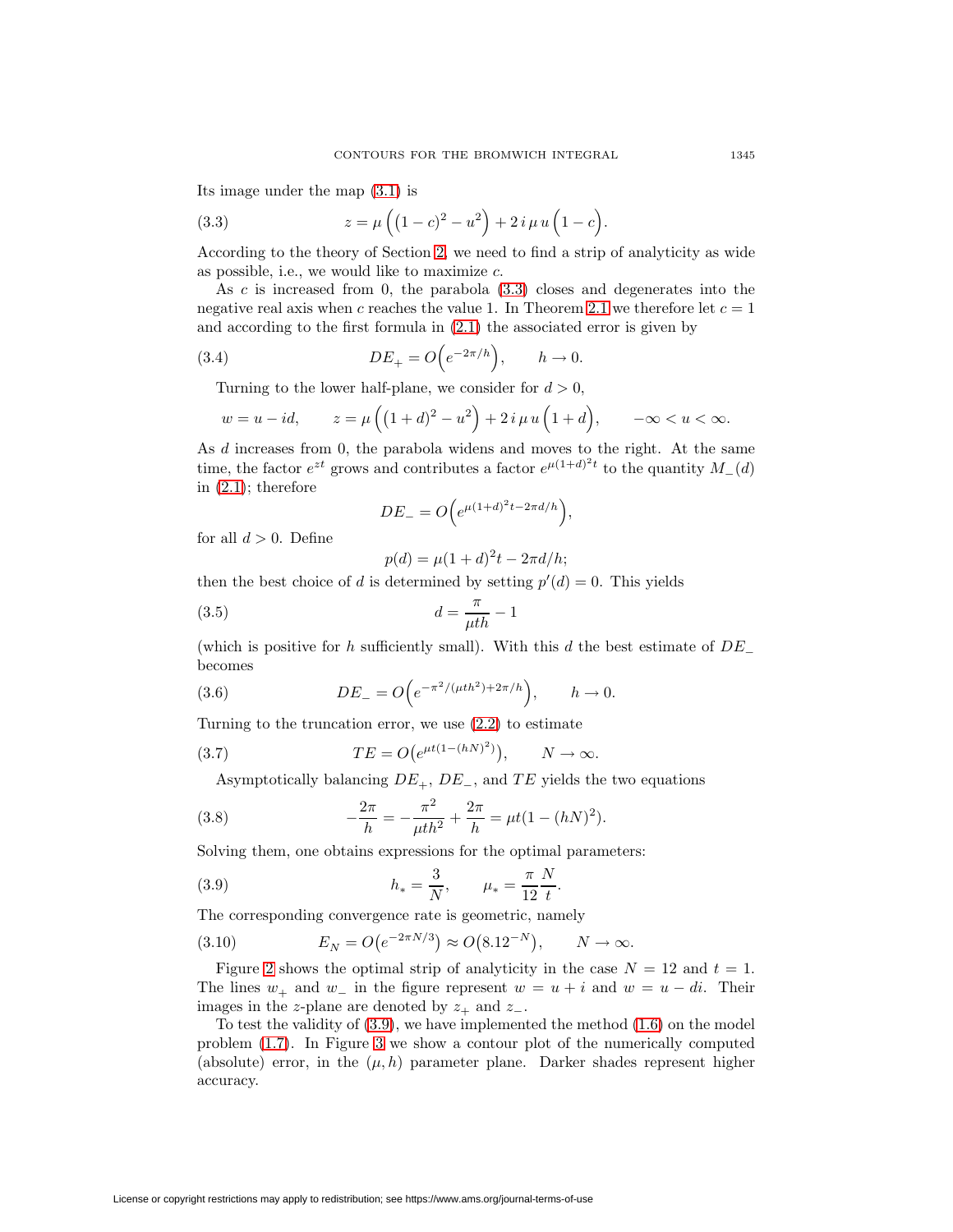<span id="page-4-0"></span>Its image under the map [\(3.1\)](#page-3-1) is

(3.3) 
$$
z = \mu \left( (1 - c)^2 - u^2 \right) + 2 i \mu u \left( 1 - c \right).
$$

According to the theory of Section [2,](#page-2-3) we need to find a strip of analyticity as wide as possible, i.e., we would like to maximize  $c$ .

As  $c$  is increased from 0, the parabola  $(3.3)$  closes and degenerates into the negative real axis when c reaches the value 1. In Theorem [2.1](#page-3-2) we therefore let  $c = 1$ and according to the first formula in [\(2.1\)](#page-3-3) the associated error is given by

(3.4) 
$$
DE_+ = O\Big(e^{-2\pi/h}\Big), \qquad h \to 0.
$$

Turning to the lower half-plane, we consider for  $d > 0$ ,

$$
w = u - id
$$
,  $z = \mu((1+d)^2 - u^2) + 2i \mu u(1+d)$ ,  $-\infty < u < \infty$ .

As d increases from 0, the parabola widens and moves to the right. At the same time, the factor  $e^{zt}$  grows and contributes a factor  $e^{\mu(1+d)^2t}$  to the quantity  $M_-(d)$ in  $(2.1)$ ; therefore

<span id="page-4-2"></span>
$$
DE_{-}=O\Big(e^{\mu(1+d)^2t-2\pi d/h}\Big),\,
$$

for all  $d > 0$ . Define

<span id="page-4-5"></span><span id="page-4-4"></span><span id="page-4-1"></span>
$$
p(d) = \mu(1+d)^{2}t - 2\pi d/h;
$$

then the best choice of d is determined by setting  $p'(d) = 0$ . This yields

$$
(3.5) \t\t d = \frac{\pi}{\mu th} - 1
$$

<span id="page-4-3"></span>(which is positive for h sufficiently small). With this d the best estimate of  $DE_$ becomes

(3.6) 
$$
DE_{-} = O\Big(e^{-\pi^2/(\mu th^2) + 2\pi/h}\Big), \qquad h \to 0.
$$

Turning to the truncation error, we use [\(2.2\)](#page-3-4) to estimate

(3.7) 
$$
TE = O(e^{\mu t(1-(hN)^2)}), \qquad N \to \infty.
$$

Asymptotically balancing  $DE_+$ ,  $DE_-$ , and  $TE$  yields the two equations

(3.8) 
$$
-\frac{2\pi}{h} = -\frac{\pi^2}{\mu th^2} + \frac{2\pi}{h} = \mu t (1 - (hN)^2).
$$

Solving them, one obtains expressions for the optimal parameters:

(3.9) 
$$
h_* = \frac{3}{N}, \qquad \mu_* = \frac{\pi}{12} \frac{N}{t}.
$$

The corresponding convergence rate is geometric, namely

<span id="page-4-6"></span>(3.10) 
$$
E_N = O(e^{-2\pi N/3}) \approx O(8.12^{-N}), \qquad N \to \infty.
$$

Figure [2](#page-5-0) shows the optimal strip of analyticity in the case  $N = 12$  and  $t = 1$ . The lines  $w_+$  and  $w_-$  in the figure represent  $w = u + i$  and  $w = u - di$ . Their images in the z-plane are denoted by  $z_+$  and  $z_-$ .

To test the validity of  $(3.9)$ , we have implemented the method  $(1.6)$  on the model problem [\(1.7\)](#page-2-0). In Figure [3](#page-5-1) we show a contour plot of the numerically computed (absolute) error, in the  $(\mu, h)$  parameter plane. Darker shades represent higher accuracy.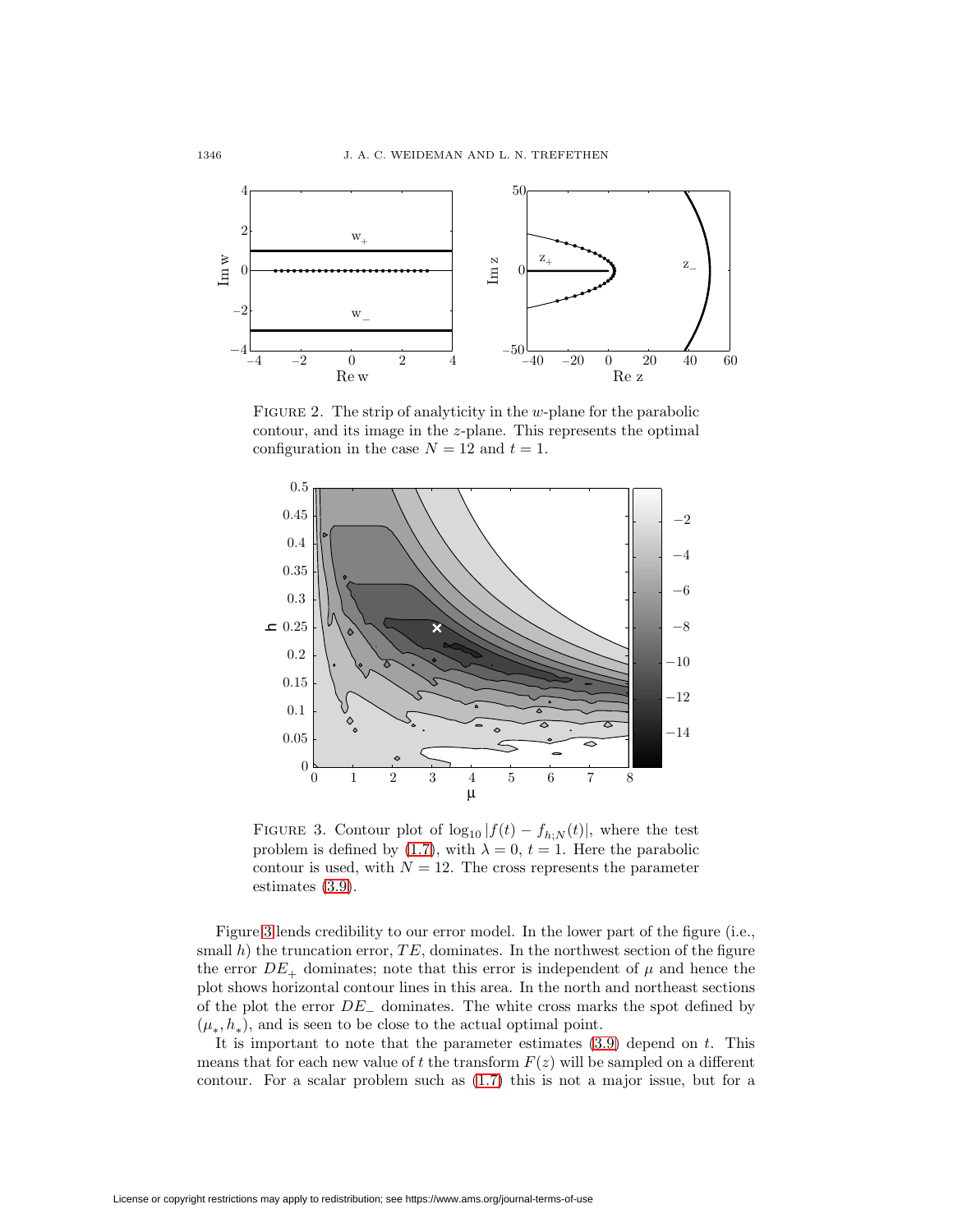

<span id="page-5-0"></span>FIGURE 2. The strip of analyticity in the  $w$ -plane for the parabolic contour, and its image in the z-plane. This represents the optimal configuration in the case  $N = 12$  and  $t = 1$ .



<span id="page-5-1"></span>FIGURE 3. Contour plot of  $\log_{10}|f(t) - f_{h:N}(t)|$ , where the test problem is defined by [\(1.7\)](#page-2-0), with  $\lambda = 0$ ,  $t = 1$ . Here the parabolic contour is used, with  $N = 12$ . The cross represents the parameter estimates [\(3.9\)](#page-4-1).

Figure [3](#page-5-1) lends credibility to our error model. In the lower part of the figure (i.e., small h) the truncation error,  $TE$ , dominates. In the northwest section of the figure the error  $DE_+$  dominates; note that this error is independent of  $\mu$  and hence the plot shows horizontal contour lines in this area. In the north and northeast sections of the plot the error  $DE_$  dominates. The white cross marks the spot defined by  $(\mu_*, h_*)$ , and is seen to be close to the actual optimal point.

It is important to note that the parameter estimates  $(3.9)$  depend on t. This means that for each new value of t the transform  $F(z)$  will be sampled on a different contour. For a scalar problem such as [\(1.7\)](#page-2-0) this is not a major issue, but for a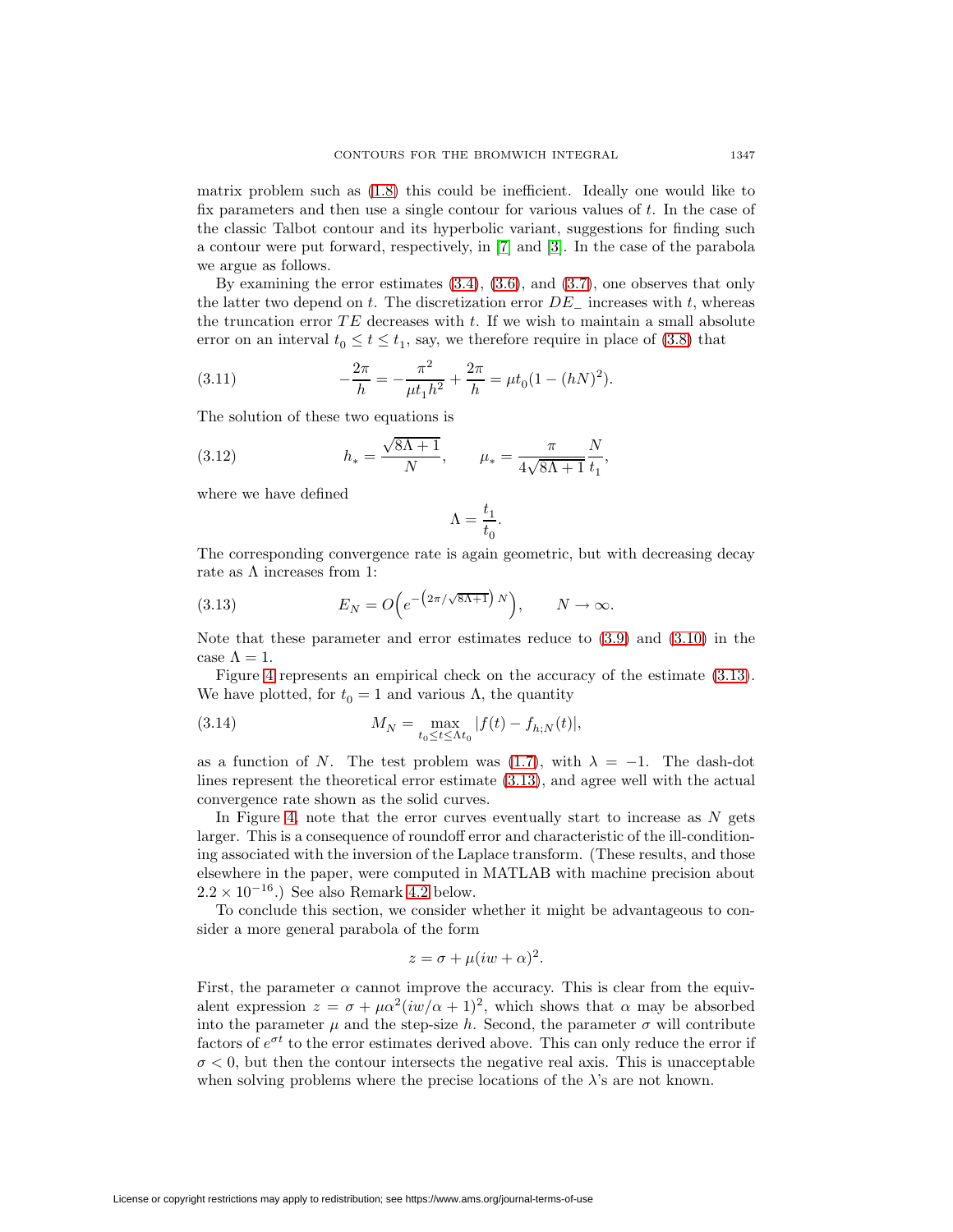matrix problem such as [\(1.8\)](#page-2-4) this could be inefficient. Ideally one would like to fix parameters and then use a single contour for various values of  $t$ . In the case of the classic Talbot contour and its hyperbolic variant, suggestions for finding such a contour were put forward, respectively, in [\[7\]](#page-15-2) and [\[3\]](#page-15-9). In the case of the parabola we argue as follows.

By examining the error estimates [\(3.4\)](#page-4-2), [\(3.6\)](#page-4-3), and [\(3.7\)](#page-4-4), one observes that only the latter two depend on t. The discretization error  $DE_$  increases with t, whereas the truncation error  $TE$  decreases with t. If we wish to maintain a small absolute error on an interval  $t_0 \le t \le t_1$ , say, we therefore require in place of [\(3.8\)](#page-4-5) that

(3.11) 
$$
-\frac{2\pi}{h} = -\frac{\pi^2}{\mu t_1 h^2} + \frac{2\pi}{h} = \mu t_0 (1 - (hN)^2).
$$

The solution of these two equations is

(3.12) 
$$
h_* = \frac{\sqrt{8\Lambda + 1}}{N}, \qquad \mu_* = \frac{\pi}{4\sqrt{8\Lambda + 1}} \frac{N}{t_1},
$$

where we have defined

<span id="page-6-3"></span><span id="page-6-2"></span><span id="page-6-1"></span>
$$
\Lambda=\frac{t_1}{t_0}.
$$

<span id="page-6-0"></span>The corresponding convergence rate is again geometric, but with decreasing decay rate as  $\Lambda$  increases from 1:

(3.13) 
$$
E_N = O\Big(e^{-\big(2\pi/\sqrt{8\Lambda+1}\big)N}\Big), \qquad N \to \infty.
$$

Note that these parameter and error estimates reduce to [\(3.9\)](#page-4-1) and [\(3.10\)](#page-4-6) in the case  $\Lambda = 1$ .

Figure [4](#page-7-1) represents an empirical check on the accuracy of the estimate [\(3.13\)](#page-6-0). We have plotted, for  $t_0 = 1$  and various Λ, the quantity

(3.14) 
$$
M_N = \max_{t_0 \le t \le \Lambda t_0} |f(t) - f_{h,N}(t)|,
$$

as a function of N. The test problem was [\(1.7\)](#page-2-0), with  $\lambda = -1$ . The dash-dot lines represent the theoretical error estimate [\(3.13\)](#page-6-0), and agree well with the actual convergence rate shown as the solid curves.

In Figure [4,](#page-7-1) note that the error curves eventually start to increase as  $N$  gets larger. This is a consequence of roundoff error and characteristic of the ill-conditioning associated with the inversion of the Laplace transform. (These results, and those elsewhere in the paper, were computed in MATLAB with machine precision about  $2.2 \times 10^{-16}$ .) See also Remark [4.2](#page-11-1) below.

To conclude this section, we consider whether it might be advantageous to consider a more general parabola of the form

$$
z = \sigma + \mu(iw + \alpha)^2.
$$

First, the parameter  $\alpha$  cannot improve the accuracy. This is clear from the equivalent expression  $z = \sigma + \mu \alpha^2 (i \omega / \alpha + 1)^2$ , which shows that  $\alpha$  may be absorbed into the parameter  $\mu$  and the step-size h. Second, the parameter  $\sigma$  will contribute factors of  $e^{\sigma t}$  to the error estimates derived above. This can only reduce the error if  $\sigma$  < 0, but then the contour intersects the negative real axis. This is unacceptable when solving problems where the precise locations of the  $\lambda$ 's are not known.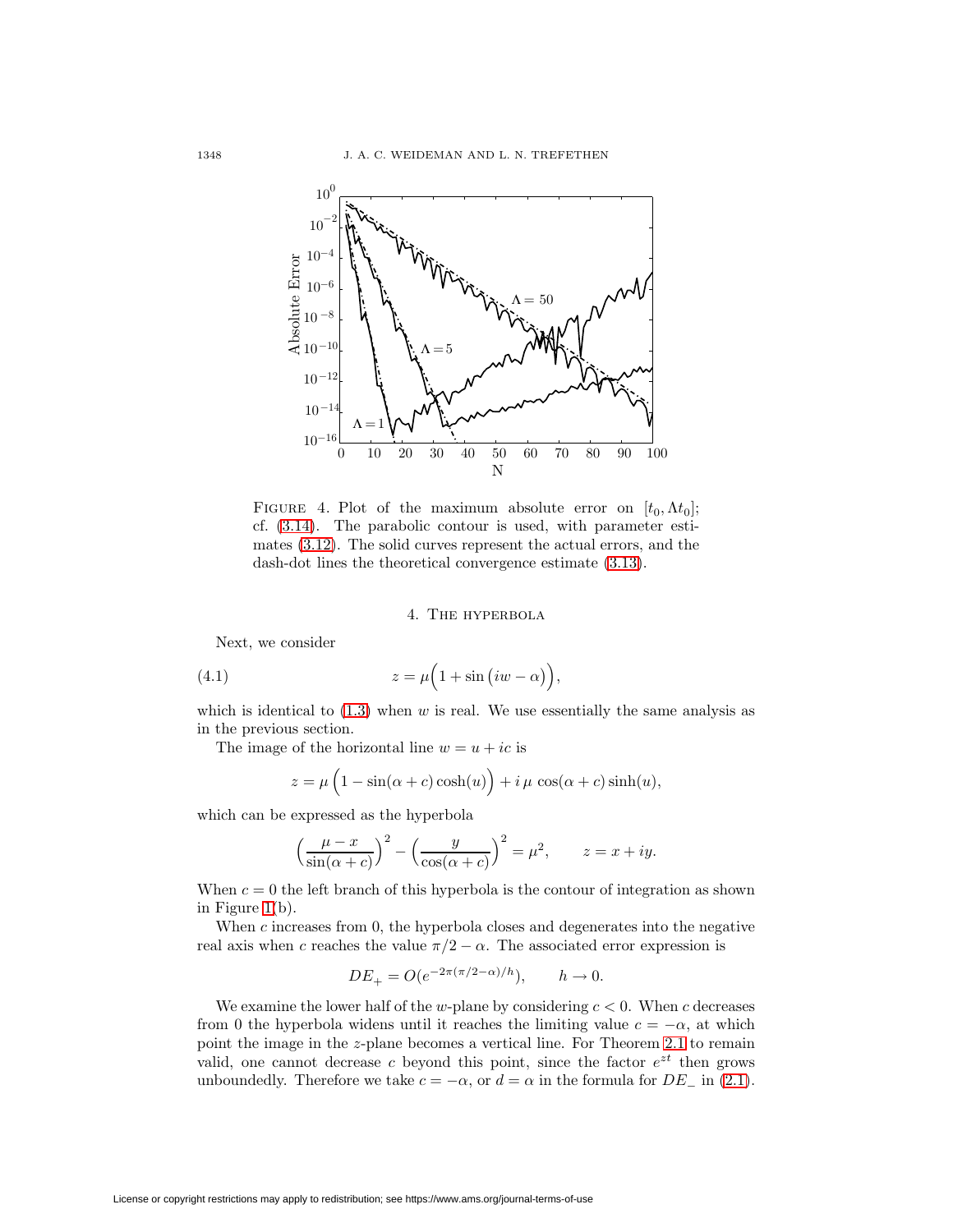

<span id="page-7-1"></span>FIGURE 4. Plot of the maximum absolute error on  $[t_0, \Lambda t_0]$ ; cf. [\(3.14\)](#page-6-1). The parabolic contour is used, with parameter estimates [\(3.12\)](#page-6-2). The solid curves represent the actual errors, and the dash-dot lines the theoretical convergence estimate [\(3.13\)](#page-6-0).

# 4. The hyperbola

Next, we consider

<span id="page-7-0"></span>(4.1) 
$$
z = \mu \left( 1 + \sin (iw - \alpha) \right),
$$

which is identical to  $(1.3)$  when w is real. We use essentially the same analysis as in the previous section.

The image of the horizontal line  $w = u + ic$  is

$$
z = \mu \left( 1 - \sin(\alpha + c) \cosh(u) \right) + i \mu \cos(\alpha + c) \sinh(u),
$$

which can be expressed as the hyperbola

$$
\left(\frac{\mu-x}{\sin(\alpha+c)}\right)^2 - \left(\frac{y}{\cos(\alpha+c)}\right)^2 = \mu^2, \qquad z = x+iy.
$$

When  $c = 0$  the left branch of this hyperbola is the contour of integration as shown in Figure [1\(](#page-1-3)b).

When  $c$  increases from 0, the hyperbola closes and degenerates into the negative real axis when c reaches the value  $\pi/2 - \alpha$ . The associated error expression is

$$
DE_+ = O(e^{-2\pi(\pi/2 - \alpha)/h}), \quad h \to 0.
$$

We examine the lower half of the w-plane by considering  $c < 0$ . When c decreases from 0 the hyperbola widens until it reaches the limiting value  $c = -\alpha$ , at which point the image in the z-plane becomes a vertical line. For Theorem [2.1](#page-3-2) to remain valid, one cannot decrease c beyond this point, since the factor  $e^{zt}$  then grows unboundedly. Therefore we take  $c = -\alpha$ , or  $d = \alpha$  in the formula for  $DE_{-}$  in [\(2.1\)](#page-3-3).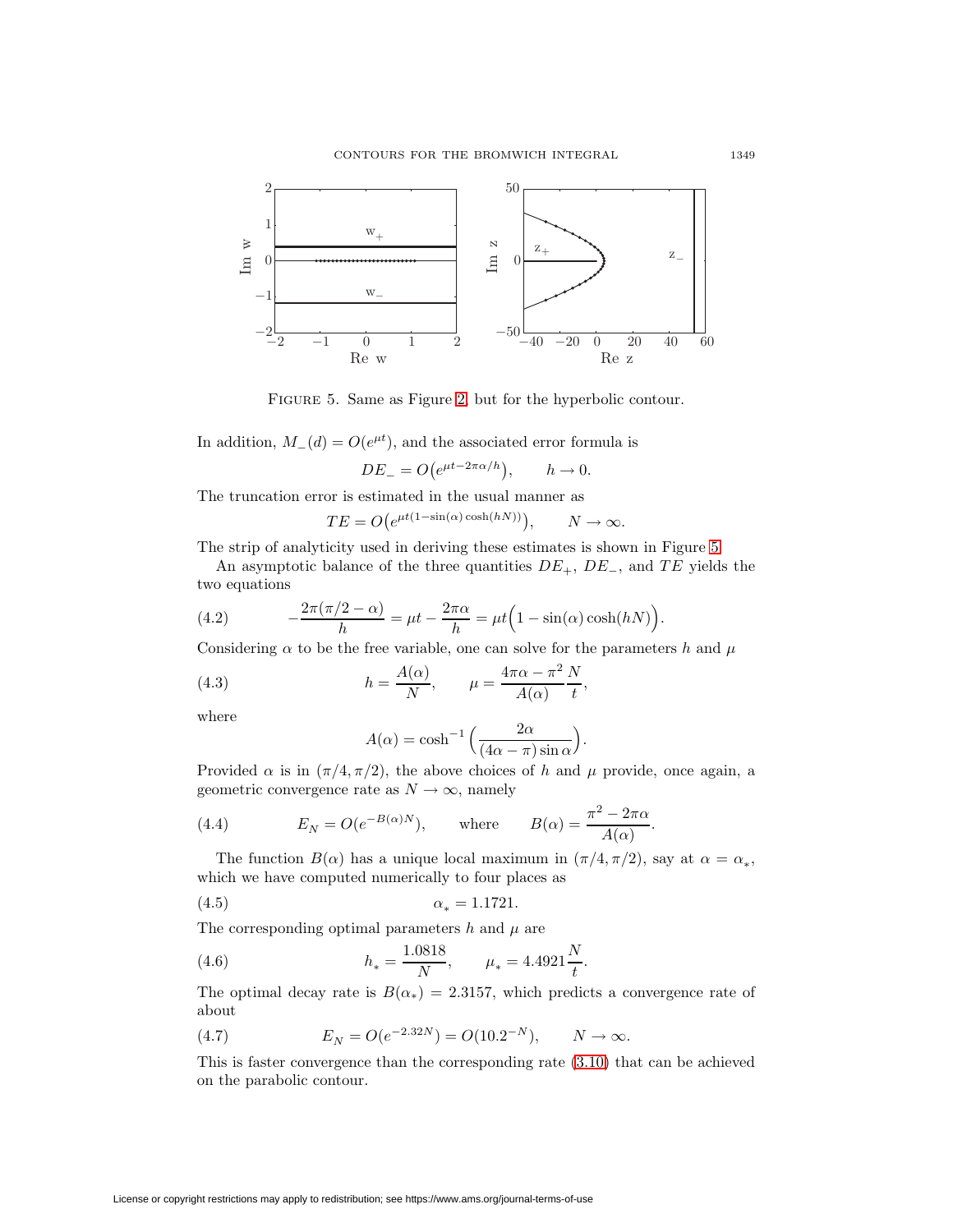

<span id="page-8-0"></span>Figure 5. Same as Figure [2,](#page-5-0) but for the hyperbolic contour.

In addition,  $M_-(d) = O(e^{\mu t})$ , and the associated error formula is

$$
DE_{-} = O(e^{\mu t - 2\pi \alpha/h}), \qquad h \to 0.
$$

The truncation error is estimated in the usual manner as

$$
TE = O(e^{\mu t(1-\sin(\alpha)\cosh(hN))}), \qquad N \to \infty.
$$

The strip of analyticity used in deriving these estimates is shown in Figure [5.](#page-8-0)

<span id="page-8-2"></span>An asymptotic balance of the three quantities  $DE_+$ ,  $DE_-$ , and  $TE$  yields the two equations

(4.2) 
$$
-\frac{2\pi(\pi/2-\alpha)}{h} = \mu t - \frac{2\pi\alpha}{h} = \mu t \left(1 - \sin(\alpha)\cosh(hN)\right).
$$

Considering  $\alpha$  to be the free variable, one can solve for the parameters h and  $\mu$ 

(4.3) 
$$
h = \frac{A(\alpha)}{N}, \qquad \mu = \frac{4\pi\alpha - \pi^2}{A(\alpha)} \frac{N}{t},
$$

where

<span id="page-8-3"></span><span id="page-8-1"></span>
$$
A(\alpha) = \cosh^{-1}\left(\frac{2\alpha}{(4\alpha - \pi)\sin \alpha}\right).
$$

Provided  $\alpha$  is in  $(\pi/4, \pi/2)$ , the above choices of h and  $\mu$  provide, once again, a geometric convergence rate as  $N \to \infty$ , namely

(4.4) 
$$
E_N = O(e^{-B(\alpha)N}), \quad \text{where} \quad B(\alpha) = \frac{\pi^2 - 2\pi\alpha}{A(\alpha)}.
$$

The function  $B(\alpha)$  has a unique local maximum in  $(\pi/4, \pi/2)$ , say at  $\alpha = \alpha_*,$ which we have computed numerically to four places as

(4.5) 
$$
\alpha_* = 1.1721.
$$

The corresponding optimal parameters  $h$  and  $\mu$  are

(4.6) 
$$
h_* = \frac{1.0818}{N}, \qquad \mu_* = 4.4921 \frac{N}{t}.
$$

The optimal decay rate is  $B(\alpha_*)=2.3157$ , which predicts a convergence rate of about

(4.7) 
$$
E_N = O(e^{-2.32N}) = O(10.2^{-N}), \qquad N \to \infty.
$$

This is faster convergence than the corresponding rate [\(3.10\)](#page-4-6) that can be achieved on the parabolic contour.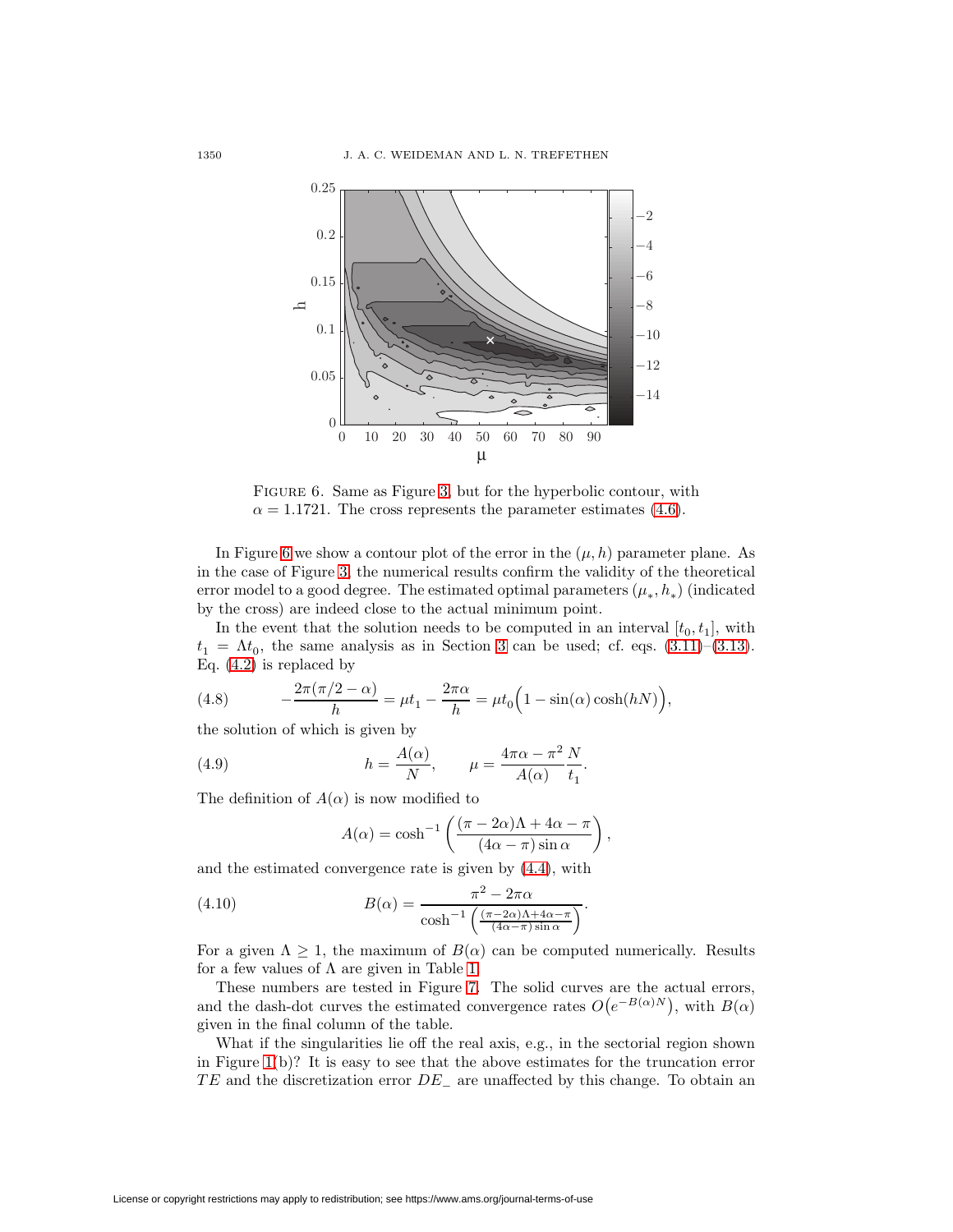

<span id="page-9-0"></span>Figure 6. Same as Figure [3,](#page-5-1) but for the hyperbolic contour, with  $\alpha = 1.1721$ . The cross represents the parameter estimates [\(4.6\)](#page-8-1).

In Figure [6](#page-9-0) we show a contour plot of the error in the  $(\mu, h)$  parameter plane. As in the case of Figure [3,](#page-5-1) the numerical results confirm the validity of the theoretical error model to a good degree. The estimated optimal parameters  $(\mu_*, h_*)$  (indicated by the cross) are indeed close to the actual minimum point.

In the event that the solution needs to be computed in an interval  $[t_0, t_1]$ , with  $t_1 = \Lambda t_0$ , the same analysis as in Section [3](#page-3-0) can be used; cf. eqs. [\(3.11\)](#page-6-3)–[\(3.13\)](#page-6-0). Eq. [\(4.2\)](#page-8-2) is replaced by

<span id="page-9-1"></span>(4.8) 
$$
-\frac{2\pi(\pi/2-\alpha)}{h} = \mu t_1 - \frac{2\pi\alpha}{h} = \mu t_0 \left(1 - \sin(\alpha)\cosh(hN)\right),
$$

the solution of which is given by

(4.9) 
$$
h = \frac{A(\alpha)}{N}, \qquad \mu = \frac{4\pi\alpha - \pi^2}{A(\alpha)}\frac{N}{t_1}.
$$

The definition of  $A(\alpha)$  is now modified to

<span id="page-9-2"></span>
$$
A(\alpha) = \cosh^{-1}\left(\frac{(\pi - 2\alpha)\Lambda + 4\alpha - \pi}{(4\alpha - \pi)\sin \alpha}\right),\,
$$

and the estimated convergence rate is given by [\(4.4\)](#page-8-3), with

(4.10) 
$$
B(\alpha) = \frac{\pi^2 - 2\pi\alpha}{\cosh^{-1}\left(\frac{(\pi - 2\alpha)\Lambda + 4\alpha - \pi}{(4\alpha - \pi)\sin\alpha}\right)}.
$$

For a given  $\Lambda \geq 1$ , the maximum of  $B(\alpha)$  can be computed numerically. Results for a few values of  $\Lambda$  are given in Table [1.](#page-10-0)

These numbers are tested in Figure [7.](#page-10-1) The solid curves are the actual errors, and the dash-dot curves the estimated convergence rates  $O(e^{-B(\alpha)N})$ , with  $B(\alpha)$ given in the final column of the table.

What if the singularities lie off the real axis, e.g., in the sectorial region shown in Figure [1\(](#page-1-3)b)? It is easy to see that the above estimates for the truncation error  $TE$  and the discretization error  $DE_$  are unaffected by this change. To obtain an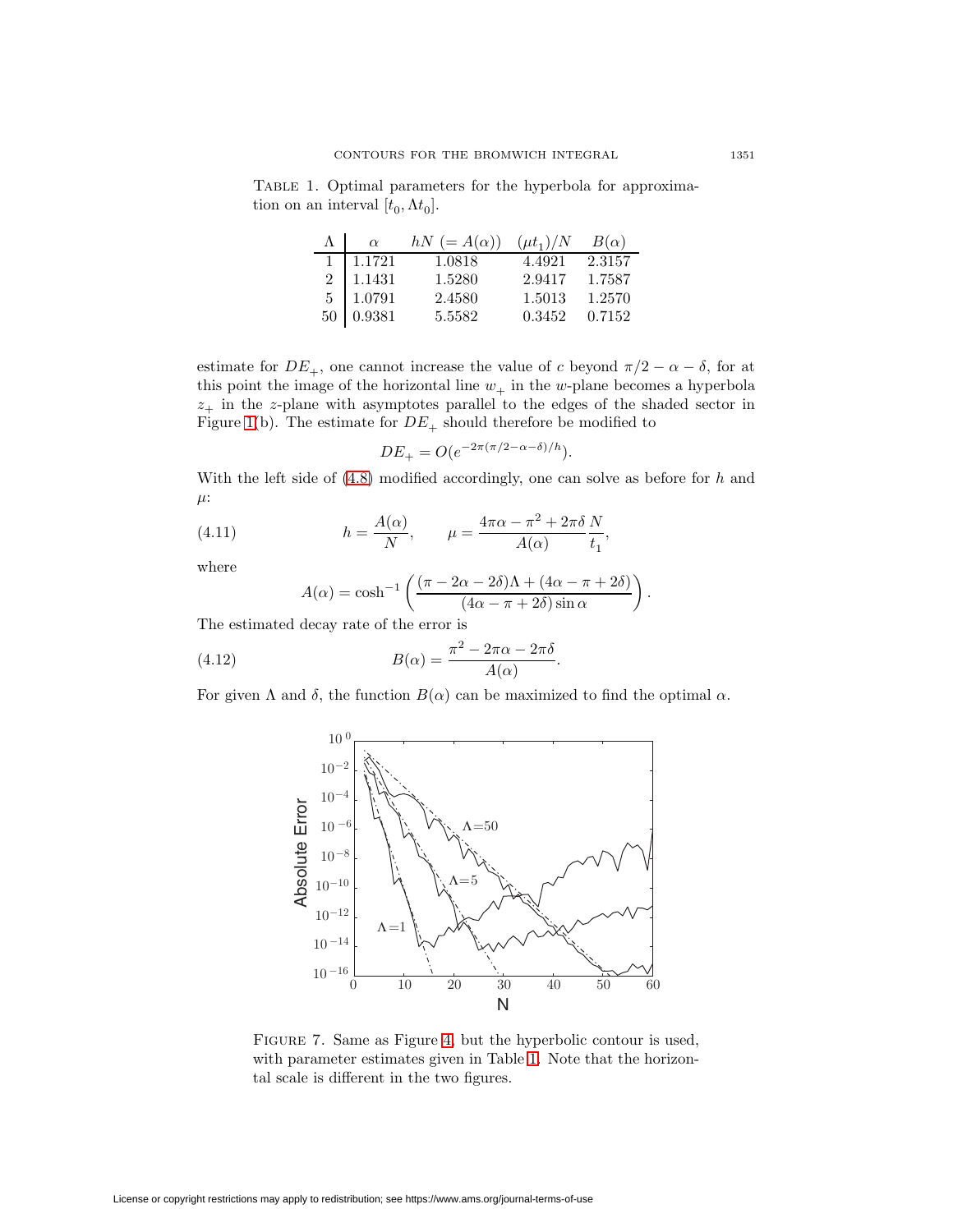<span id="page-10-0"></span>Table 1. Optimal parameters for the hyperbola for approximation on an interval  $[t_0, \Lambda t_0]$ .

| $\alpha$         | $hN (= A(\alpha))$ | $(\mu t_1)/N$ | $B(\alpha)$ |
|------------------|--------------------|---------------|-------------|
| $1 \quad 1.1721$ | 1.0818             | 4.4921        | 2.3157      |
| $2\quad 1.1431$  | 1.5280             | 2.9417        | 1.7587      |
| $5 \mid 1.0791$  | 2.4580             | 1.5013        | 1.2570      |
| $50\,$ 0.9381    | 5.5582             | 0.3452        | 0.7152      |

estimate for  $DE_+$ , one cannot increase the value of c beyond  $\pi/2 - \alpha - \delta$ , for at this point the image of the horizontal line  $w_+$  in the w-plane becomes a hyperbola  $z_{+}$  in the z-plane with asymptotes parallel to the edges of the shaded sector in Figure [1\(](#page-1-3)b). The estimate for  $DE_+$  should therefore be modified to

$$
DE_{+} = O(e^{-2\pi(\pi/2 - \alpha - \delta)/h}).
$$

<span id="page-10-2"></span>With the left side of  $(4.8)$  modified accordingly, one can solve as before for  $h$  and  $\mu$ :

(4.11) 
$$
h = \frac{A(\alpha)}{N}, \qquad \mu = \frac{4\pi\alpha - \pi^2 + 2\pi\delta}{A(\alpha)}\frac{N}{t_1},
$$

where

<span id="page-10-3"></span>
$$
A(\alpha) = \cosh^{-1}\left(\frac{(\pi - 2\alpha - 2\delta)\Lambda + (4\alpha - \pi + 2\delta)}{(4\alpha - \pi + 2\delta)\sin\alpha}\right).
$$

The estimated decay rate of the error is

(4.12) 
$$
B(\alpha) = \frac{\pi^2 - 2\pi\alpha - 2\pi\delta}{A(\alpha)}.
$$

For given  $\Lambda$  and  $\delta$ , the function  $B(\alpha)$  can be maximized to find the optimal  $\alpha$ .



<span id="page-10-1"></span>Figure 7. Same as Figure [4,](#page-7-1) but the hyperbolic contour is used, with parameter estimates given in Table [1.](#page-10-0) Note that the horizontal scale is different in the two figures.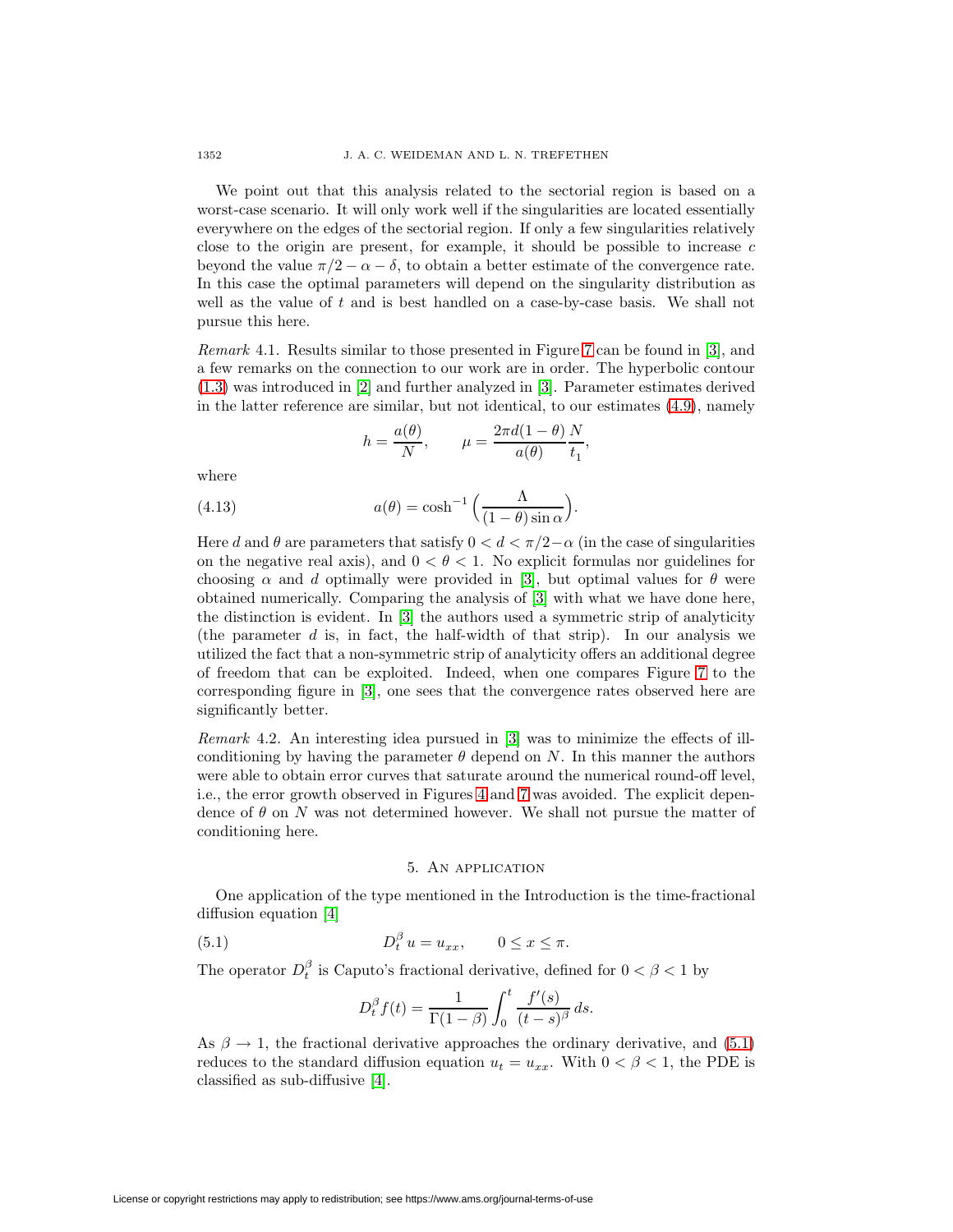We point out that this analysis related to the sectorial region is based on a worst-case scenario. It will only work well if the singularities are located essentially everywhere on the edges of the sectorial region. If only a few singularities relatively close to the origin are present, for example, it should be possible to increase  $c$ beyond the value  $\pi/2 - \alpha - \delta$ , to obtain a better estimate of the convergence rate. In this case the optimal parameters will depend on the singularity distribution as well as the value of  $t$  and is best handled on a case-by-case basis. We shall not pursue this here.

Remark 4.1. Results similar to those presented in Figure [7](#page-10-1) can be found in [\[3\]](#page-15-9), and a few remarks on the connection to our work are in order. The hyperbolic contour [\(1.3\)](#page-1-1) was introduced in [\[2\]](#page-15-5) and further analyzed in [\[3\]](#page-15-9). Parameter estimates derived in the latter reference are similar, but not identical, to our estimates [\(4.9\)](#page-9-2), namely

$$
h = \frac{a(\theta)}{N}, \qquad \mu = \frac{2\pi d(1-\theta)}{a(\theta)} \frac{N}{t_1},
$$

where

(4.13) 
$$
a(\theta) = \cosh^{-1}\left(\frac{\Lambda}{(1-\theta)\sin\alpha}\right).
$$

Here d and  $\theta$  are parameters that satisfy  $0 < d < \pi/2-\alpha$  (in the case of singularities on the negative real axis), and  $0 < \theta < 1$ . No explicit formulas nor guidelines for choosing  $\alpha$  and d optimally were provided in [\[3\]](#page-15-9), but optimal values for  $\theta$  were obtained numerically. Comparing the analysis of [\[3\]](#page-15-9) with what we have done here, the distinction is evident. In [\[3\]](#page-15-9) the authors used a symmetric strip of analyticity (the parameter  $d$  is, in fact, the half-width of that strip). In our analysis we utilized the fact that a non-symmetric strip of analyticity offers an additional degree of freedom that can be exploited. Indeed, when one compares Figure [7](#page-10-1) to the corresponding figure in [\[3\]](#page-15-9), one sees that the convergence rates observed here are significantly better.

<span id="page-11-1"></span>Remark 4.2. An interesting idea pursued in [\[3\]](#page-15-9) was to minimize the effects of illconditioning by having the parameter  $\theta$  depend on N. In this manner the authors were able to obtain error curves that saturate around the numerical round-off level, i.e., the error growth observed in Figures [4](#page-7-1) and [7](#page-10-1) was avoided. The explicit dependence of  $\theta$  on N was not determined however. We shall not pursue the matter of conditioning here.

## 5. An application

<span id="page-11-2"></span><span id="page-11-0"></span>One application of the type mentioned in the Introduction is the time-fractional diffusion equation [\[4\]](#page-15-10)

(5.1) 
$$
D_t^{\beta} u = u_{xx}, \qquad 0 \le x \le \pi.
$$

The operator  $D_t^{\beta}$  is Caputo's fractional derivative, defined for  $0 < \beta < 1$  by

$$
D_t^{\beta} f(t) = \frac{1}{\Gamma(1-\beta)} \int_0^t \frac{f'(s)}{(t-s)^{\beta}} ds.
$$

As  $\beta \rightarrow 1$ , the fractional derivative approaches the ordinary derivative, and [\(5.1\)](#page-11-2) reduces to the standard diffusion equation  $u_t = u_{xx}$ . With  $0 < \beta < 1$ , the PDE is classified as sub-diffusive [\[4\]](#page-15-10).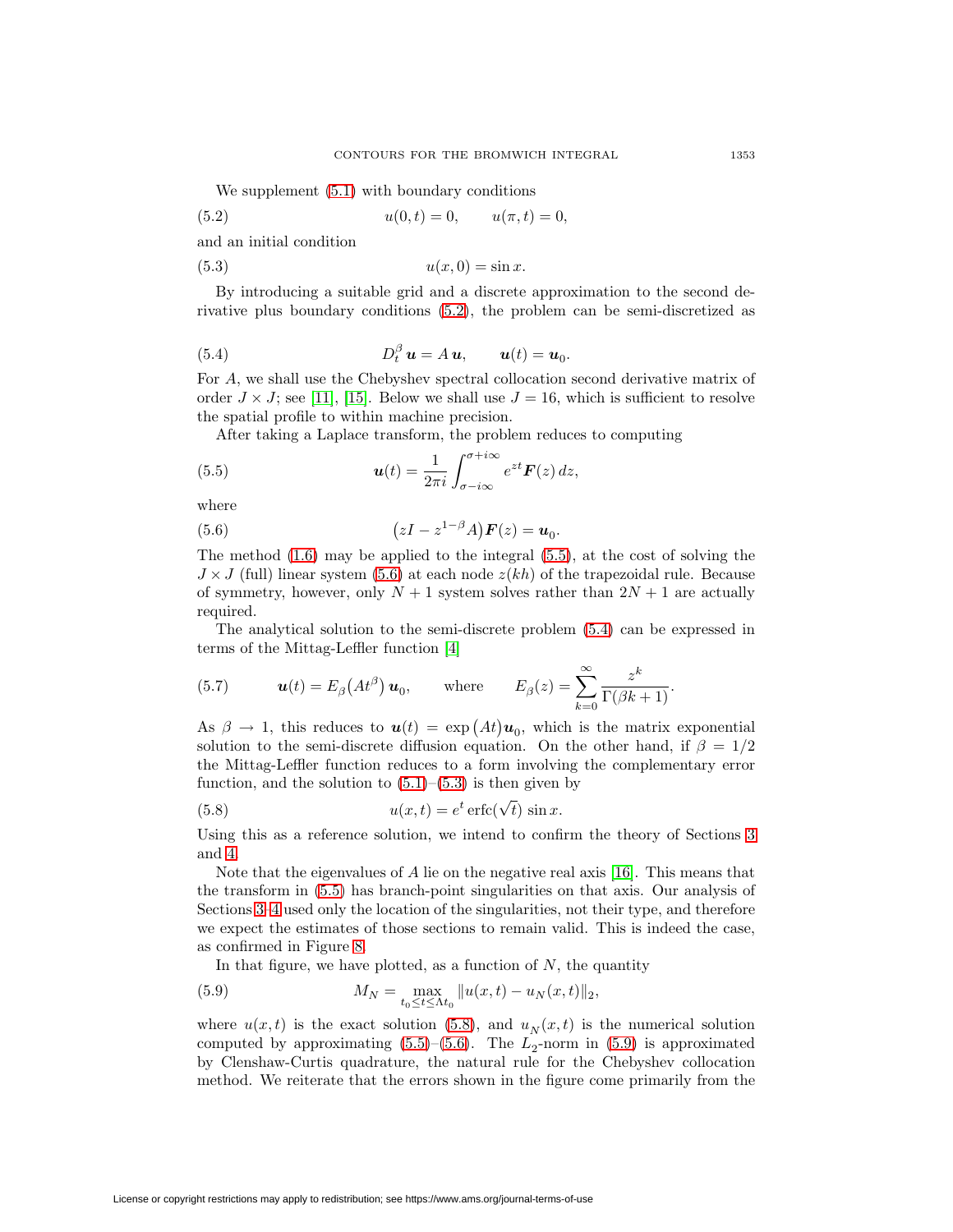<span id="page-12-0"></span>We supplement  $(5.1)$  with boundary conditions

(5.2) 
$$
u(0,t) = 0, \qquad u(\pi, t) = 0,
$$

<span id="page-12-4"></span>and an initial condition

$$
(5.3) \t\t u(x,0) = \sin x.
$$

By introducing a suitable grid and a discrete approximation to the second derivative plus boundary conditions [\(5.2\)](#page-12-0), the problem can be semi-discretized as

<span id="page-12-3"></span>(5.4) 
$$
D_t^{\beta} \mathbf{u} = A \mathbf{u}, \qquad \mathbf{u}(t) = \mathbf{u}_0.
$$

For A, we shall use the Chebyshev spectral collocation second derivative matrix of order  $J \times J$ ; see [\[11\]](#page-15-11), [\[15\]](#page-15-12). Below we shall use  $J = 16$ , which is sufficient to resolve the spatial profile to within machine precision.

<span id="page-12-1"></span>After taking a Laplace transform, the problem reduces to computing

(5.5) 
$$
\boldsymbol{u}(t) = \frac{1}{2\pi i} \int_{\sigma - i\infty}^{\sigma + i\infty} e^{zt} \boldsymbol{F}(z) dz,
$$

<span id="page-12-2"></span>where

(5.6) 
$$
(zI - z^{1-\beta}A)\boldsymbol{F}(z) = \boldsymbol{u}_0.
$$

The method  $(1.6)$  may be applied to the integral  $(5.5)$ , at the cost of solving the  $J \times J$  (full) linear system [\(5.6\)](#page-12-2) at each node  $z(kh)$  of the trapezoidal rule. Because of symmetry, however, only  $N + 1$  system solves rather than  $2N + 1$  are actually required.

The analytical solution to the semi-discrete problem [\(5.4\)](#page-12-3) can be expressed in terms of the Mittag-Leffler function [\[4\]](#page-15-10)

(5.7) 
$$
\boldsymbol{u}(t) = E_{\beta}\left(At^{\beta}\right)\boldsymbol{u}_0, \quad \text{where} \quad E_{\beta}(z) = \sum_{k=0}^{\infty} \frac{z^k}{\Gamma(\beta k + 1)}.
$$

As  $\beta \to 1$ , this reduces to  $u(t) = \exp (At)u_0$ , which is the matrix exponential solution to the semi-discrete diffusion equation. On the other hand, if  $\beta = 1/2$ the Mittag-Leffler function reduces to a form involving the complementary error function, and the solution to  $(5.1)$ – $(5.3)$  is then given by

<span id="page-12-5"></span>(5.8) 
$$
u(x,t) = e^t \operatorname{erfc}(\sqrt{t}) \sin x.
$$

Using this as a reference solution, we intend to confirm the theory of Sections [3](#page-3-0) and [4.](#page-7-0)

Note that the eigenvalues of A lie on the negative real axis [\[16\]](#page-15-13). This means that the transform in [\(5.5\)](#page-12-1) has branch-point singularities on that axis. Our analysis of Sections [3–](#page-3-0)[4](#page-7-0) used only the location of the singularities, not their type, and therefore we expect the estimates of those sections to remain valid. This is indeed the case, as confirmed in Figure [8.](#page-13-1)

<span id="page-12-6"></span>In that figure, we have plotted, as a function of  $N$ , the quantity

(5.9) 
$$
M_N = \max_{t_0 \le t \le \Lambda t_0} ||u(x, t) - u_N(x, t)||_2,
$$

where  $u(x, t)$  is the exact solution [\(5.8\)](#page-12-5), and  $u_N(x, t)$  is the numerical solution computed by approximating  $(5.5)$ – $(5.6)$ . The  $L_2$ -norm in  $(5.9)$  is approximated by Clenshaw-Curtis quadrature, the natural rule for the Chebyshev collocation method. We reiterate that the errors shown in the figure come primarily from the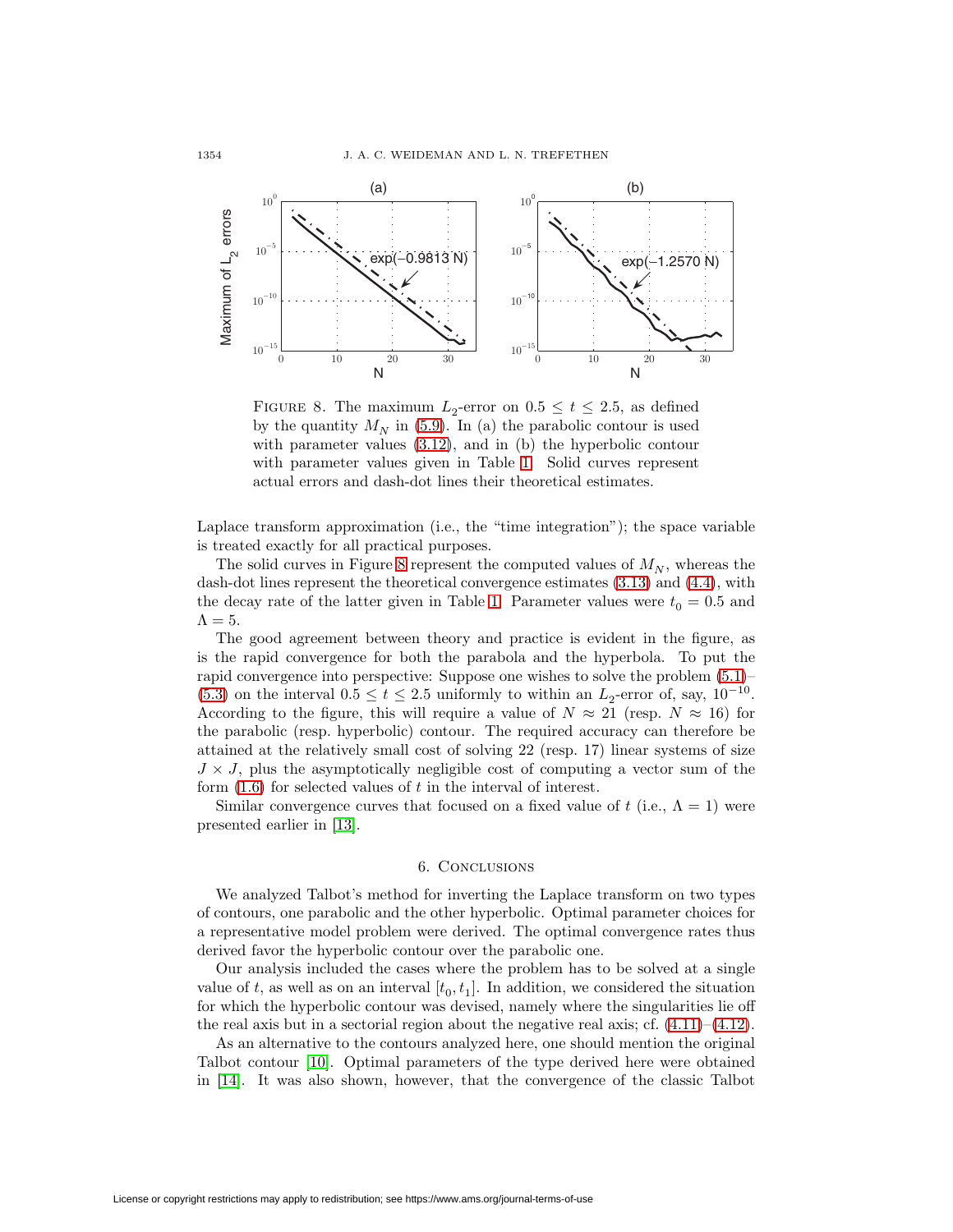

<span id="page-13-1"></span>FIGURE 8. The maximum  $L_2$ -error on  $0.5 \le t \le 2.5$ , as defined by the quantity  $M_N$  in [\(5.9\)](#page-12-6). In (a) the parabolic contour is used with parameter values [\(3.12\)](#page-6-2), and in (b) the hyperbolic contour with parameter values given in Table [1.](#page-10-0) Solid curves represent actual errors and dash-dot lines their theoretical estimates.

Laplace transform approximation (i.e., the "time integration"); the space variable is treated exactly for all practical purposes.

The solid curves in Figure [8](#page-13-1) represent the computed values of  $M_N$ , whereas the dash-dot lines represent the theoretical convergence estimates [\(3.13\)](#page-6-0) and [\(4.4\)](#page-8-3), with the decay rate of the latter given in Table [1.](#page-10-0) Parameter values were  $t_0 = 0.5$  and  $\Lambda = 5$ .

The good agreement between theory and practice is evident in the figure, as is the rapid convergence for both the parabola and the hyperbola. To put the rapid convergence into perspective: Suppose one wishes to solve the problem [\(5.1\)](#page-11-2)– [\(5.3\)](#page-12-4) on the interval  $0.5 \le t \le 2.5$  uniformly to within an  $L_2$ -error of, say,  $10^{-10}$ . According to the figure, this will require a value of  $N \approx 21$  (resp.  $N \approx 16$ ) for the parabolic (resp. hyperbolic) contour. The required accuracy can therefore be attained at the relatively small cost of solving 22 (resp. 17) linear systems of size  $J \times J$ , plus the asymptotically negligible cost of computing a vector sum of the form  $(1.6)$  for selected values of t in the interval of interest.

Similar convergence curves that focused on a fixed value of t (i.e.,  $\Lambda = 1$ ) were presented earlier in [\[13\]](#page-15-14).

### 6. Conclusions

<span id="page-13-0"></span>We analyzed Talbot's method for inverting the Laplace transform on two types of contours, one parabolic and the other hyperbolic. Optimal parameter choices for a representative model problem were derived. The optimal convergence rates thus derived favor the hyperbolic contour over the parabolic one.

Our analysis included the cases where the problem has to be solved at a single value of t, as well as on an interval  $[t_0, t_1]$ . In addition, we considered the situation for which the hyperbolic contour was devised, namely where the singularities lie off the real axis but in a sectorial region about the negative real axis; cf.  $(4.11)$ – $(4.12)$ .

As an alternative to the contours analyzed here, one should mention the original Talbot contour [\[10\]](#page-15-0). Optimal parameters of the type derived here were obtained in [\[14\]](#page-15-3). It was also shown, however, that the convergence of the classic Talbot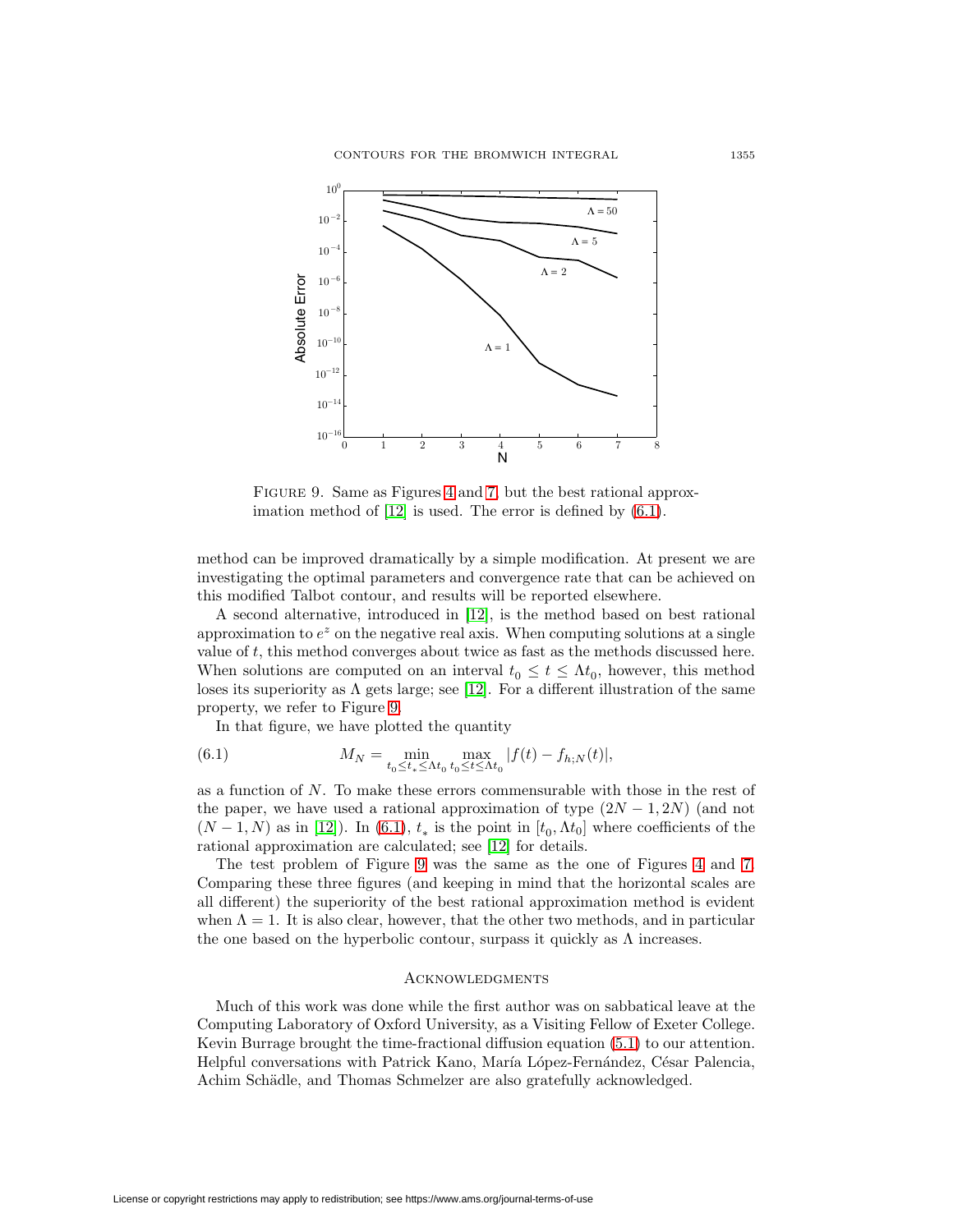

<span id="page-14-1"></span>FIGURE 9. Same as Figures [4](#page-7-1) and [7,](#page-10-1) but the best rational approx-imation method of [\[12\]](#page-15-15) is used. The error is defined by  $(6.1)$ .

method can be improved dramatically by a simple modification. At present we are investigating the optimal parameters and convergence rate that can be achieved on this modified Talbot contour, and results will be reported elsewhere.

A second alternative, introduced in [\[12\]](#page-15-15), is the method based on best rational approximation to  $e^z$  on the negative real axis. When computing solutions at a single value of t, this method converges about twice as fast as the methods discussed here. When solutions are computed on an interval  $t_0 \leq t \leq \Lambda t_0$ , however, this method loses its superiority as  $\Lambda$  gets large; see [\[12\]](#page-15-15). For a different illustration of the same property, we refer to Figure [9.](#page-14-1)

<span id="page-14-0"></span>In that figure, we have plotted the quantity

(6.1) 
$$
M_N = \min_{t_0 \le t_* \le \Lambda t_0} \max_{t_0 \le t \le \Lambda t_0} |f(t) - f_{h;N}(t)|,
$$

as a function of N. To make these errors commensurable with those in the rest of the paper, we have used a rational approximation of type  $(2N-1, 2N)$  (and not  $(N-1, N)$  as in [\[12\]](#page-15-15)). In [\(6.1\)](#page-14-0),  $t_*$  is the point in [ $t_0, \Lambda t_0$ ] where coefficients of the rational approximation are calculated; see [\[12\]](#page-15-15) for details.

The test problem of Figure [9](#page-14-1) was the same as the one of Figures [4](#page-7-1) and [7.](#page-10-1) Comparing these three figures (and keeping in mind that the horizontal scales are all different) the superiority of the best rational approximation method is evident when  $\Lambda = 1$ . It is also clear, however, that the other two methods, and in particular the one based on the hyperbolic contour, surpass it quickly as  $\Lambda$  increases.

# **ACKNOWLEDGMENTS**

Much of this work was done while the first author was on sabbatical leave at the Computing Laboratory of Oxford University, as a Visiting Fellow of Exeter College. Kevin Burrage brought the time-fractional diffusion equation [\(5.1\)](#page-11-2) to our attention. Helpful conversations with Patrick Kano, María López-Fernández, César Palencia, Achim Schädle, and Thomas Schmelzer are also gratefully acknowledged.